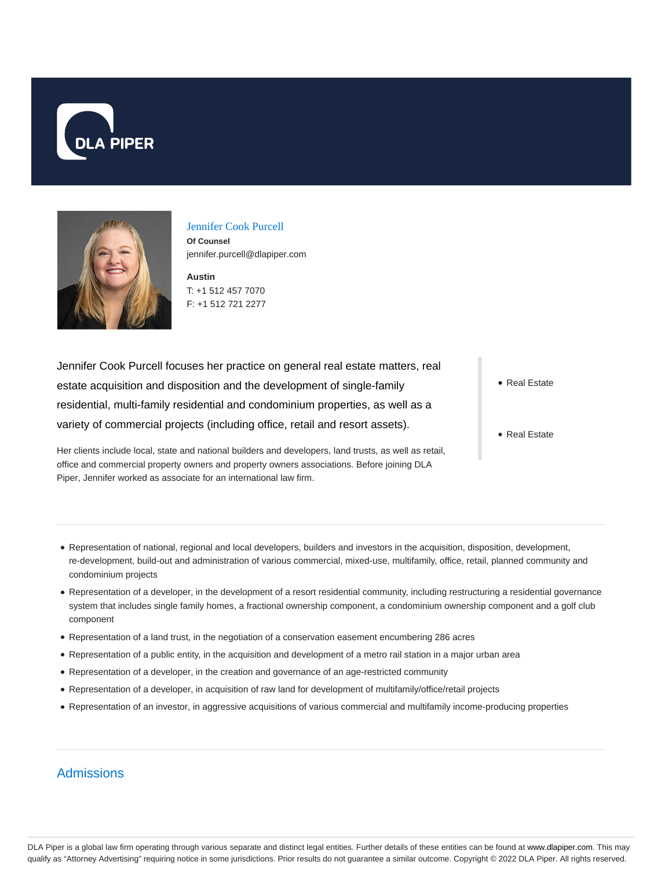



#### Jennifer Cook Purcell

**Of Counsel** jennifer.purcell@dlapiper.com

**Austin** T: +1 512 457 7070 F: +1 512 721 2277

Jennifer Cook Purcell focuses her practice on general real estate matters, real estate acquisition and disposition and the development of single-family residential, multi-family residential and condominium properties, as well as a variety of commercial projects (including office, retail and resort assets).

Her clients include local, state and national builders and developers, land trusts, as well as retail, office and commercial property owners and property owners associations. Before joining DLA Piper, Jennifer worked as associate for an international law firm.

• Real Estate

• Real Estate

- Representation of national, regional and local developers, builders and investors in the acquisition, disposition, development, re-development, build-out and administration of various commercial, mixed-use, multifamily, office, retail, planned community and condominium projects
- Representation of a developer, in the development of a resort residential community, including restructuring a residential governance system that includes single family homes, a fractional ownership component, a condominium ownership component and a golf club component
- Representation of a land trust, in the negotiation of a conservation easement encumbering 286 acres
- Representation of a public entity, in the acquisition and development of a metro rail station in a major urban area
- Representation of a developer, in the creation and governance of an age-restricted community
- Representation of a developer, in acquisition of raw land for development of multifamily/office/retail projects
- Representation of an investor, in aggressive acquisitions of various commercial and multifamily income-producing properties

# Admissions

DLA Piper is a global law firm operating through various separate and distinct legal entities. Further details of these entities can be found at www.dlapiper.com. This may qualify as "Attorney Advertising" requiring notice in some jurisdictions. Prior results do not guarantee a similar outcome. Copyright © 2022 DLA Piper. All rights reserved.